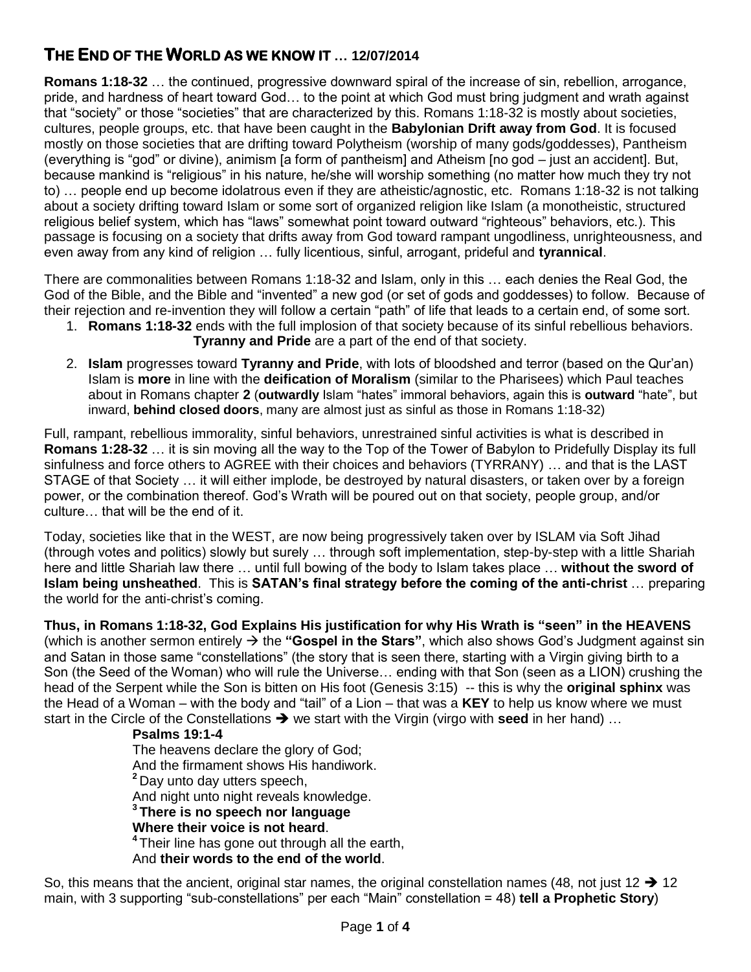# **THE END OF THE WORLD AS WE KNOW IT … 12/07/2014**

**Romans 1:18-32** … the continued, progressive downward spiral of the increase of sin, rebellion, arrogance, pride, and hardness of heart toward God… to the point at which God must bring judgment and wrath against that "society" or those "societies" that are characterized by this. Romans 1:18-32 is mostly about societies, cultures, people groups, etc. that have been caught in the **Babylonian Drift away from God**. It is focused mostly on those societies that are drifting toward Polytheism (worship of many gods/goddesses), Pantheism (everything is "god" or divine), animism [a form of pantheism] and Atheism [no god – just an accident]. But, because mankind is "religious" in his nature, he/she will worship something (no matter how much they try not to) … people end up become idolatrous even if they are atheistic/agnostic, etc. Romans 1:18-32 is not talking about a society drifting toward Islam or some sort of organized religion like Islam (a monotheistic, structured religious belief system, which has "laws" somewhat point toward outward "righteous" behaviors, etc.). This passage is focusing on a society that drifts away from God toward rampant ungodliness, unrighteousness, and even away from any kind of religion … fully licentious, sinful, arrogant, prideful and **tyrannical**.

There are commonalities between Romans 1:18-32 and Islam, only in this … each denies the Real God, the God of the Bible, and the Bible and "invented" a new god (or set of gods and goddesses) to follow. Because of their rejection and re-invention they will follow a certain "path" of life that leads to a certain end, of some sort.

- 1. **Romans 1:18-32** ends with the full implosion of that society because of its sinful rebellious behaviors. **Tyranny and Pride** are a part of the end of that society.
- 2. **Islam** progresses toward **Tyranny and Pride**, with lots of bloodshed and terror (based on the Qur'an) Islam is **more** in line with the **deification of Moralism** (similar to the Pharisees) which Paul teaches about in Romans chapter **2** (**outwardly** Islam "hates" immoral behaviors, again this is **outward** "hate", but inward, **behind closed doors**, many are almost just as sinful as those in Romans 1:18-32)

Full, rampant, rebellious immorality, sinful behaviors, unrestrained sinful activities is what is described in **Romans 1:28-32** … it is sin moving all the way to the Top of the Tower of Babylon to Pridefully Display its full sinfulness and force others to AGREE with their choices and behaviors (TYRRANY) … and that is the LAST STAGE of that Society … it will either implode, be destroyed by natural disasters, or taken over by a foreign power, or the combination thereof. God's Wrath will be poured out on that society, people group, and/or culture… that will be the end of it.

Today, societies like that in the WEST, are now being progressively taken over by ISLAM via Soft Jihad (through votes and politics) slowly but surely … through soft implementation, step-by-step with a little Shariah here and little Shariah law there … until full bowing of the body to Islam takes place … **without the sword of Islam being unsheathed**. This is **SATAN's final strategy before the coming of the anti-christ** … preparing the world for the anti-christ's coming.

**Thus, in Romans 1:18-32, God Explains His justification for why His Wrath is "seen" in the HEAVENS** (which is another sermon entirely  $\rightarrow$  the "Gospel in the Stars", which also shows God's Judgment against sin and Satan in those same "constellations" (the story that is seen there, starting with a Virgin giving birth to a Son (the Seed of the Woman) who will rule the Universe… ending with that Son (seen as a LION) crushing the head of the Serpent while the Son is bitten on His foot (Genesis 3:15) -- this is why the **original sphinx** was the Head of a Woman – with the body and "tail" of a Lion – that was a **KEY** to help us know where we must start in the Circle of the Constellations  $\rightarrow$  we start with the Virgin (virgo with **seed** in her hand) ...

## **Psalms 19:1-4**

The heavens declare the glory of God; And the firmament shows His handiwork. **<sup>2</sup>** Day unto day utters speech, And night unto night reveals knowledge. **<sup>3</sup> There is no speech nor language Where their voice is not heard**. **<sup>4</sup>** Their line has gone out through all the earth, And **their words to the end of the world**.

So, this means that the ancient, original star names, the original constellation names (48, not just 12  $\rightarrow$  12 main, with 3 supporting "sub-constellations" per each "Main" constellation = 48) **tell a Prophetic Story**)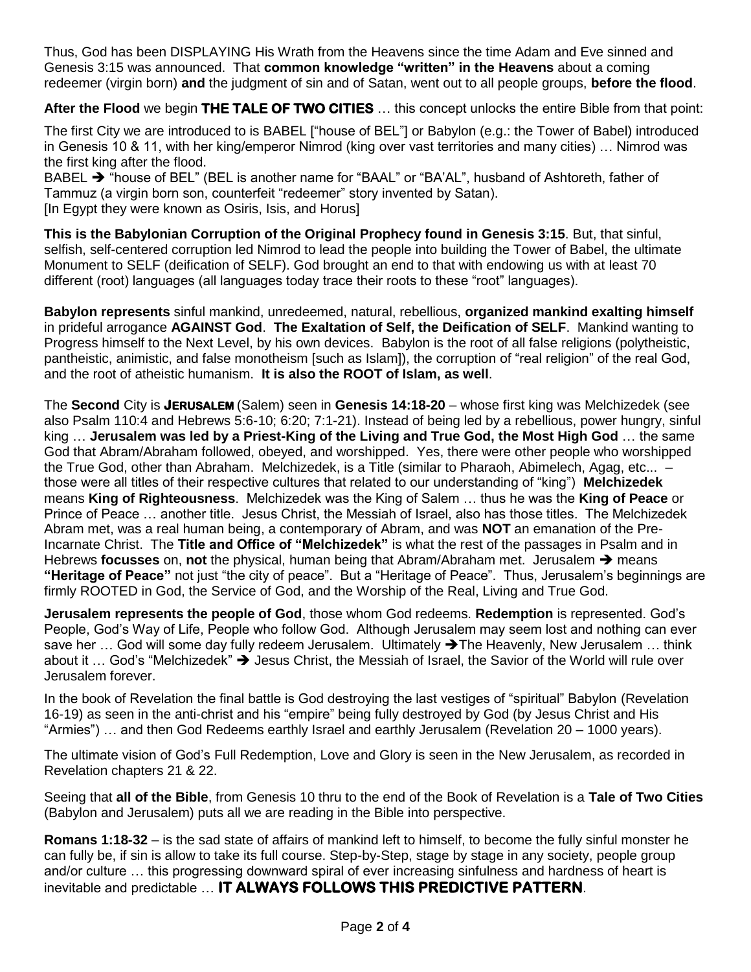Thus, God has been DISPLAYING His Wrath from the Heavens since the time Adam and Eve sinned and Genesis 3:15 was announced. That **common knowledge "written" in the Heavens** about a coming redeemer (virgin born) **and** the judgment of sin and of Satan, went out to all people groups, **before the flood**.

**After the Flood** we begin **THE TALE OF TWO CITIES** … this concept unlocks the entire Bible from that point:

The first City we are introduced to is BABEL ["house of BEL"] or Babylon (e.g.: the Tower of Babel) introduced in Genesis 10 & 11, with her king/emperor Nimrod (king over vast territories and many cities) … Nimrod was the first king after the flood.

BABEL "house of BEL" (BEL is another name for "BAAL" or "BA'AL", husband of Ashtoreth, father of Tammuz (a virgin born son, counterfeit "redeemer" story invented by Satan). [In Egypt they were known as Osiris, Isis, and Horus]

**This is the Babylonian Corruption of the Original Prophecy found in Genesis 3:15**. But, that sinful, selfish, self-centered corruption led Nimrod to lead the people into building the Tower of Babel, the ultimate Monument to SELF (deification of SELF). God brought an end to that with endowing us with at least 70 different (root) languages (all languages today trace their roots to these "root" languages).

**Babylon represents** sinful mankind, unredeemed, natural, rebellious, **organized mankind exalting himself** in prideful arrogance **AGAINST God**. **The Exaltation of Self, the Deification of SELF**. Mankind wanting to Progress himself to the Next Level, by his own devices. Babylon is the root of all false religions (polytheistic, pantheistic, animistic, and false monotheism [such as Islam]), the corruption of "real religion" of the real God, and the root of atheistic humanism. **It is also the ROOT of Islam, as well**.

The **Second** City is **JERUSALEM** (Salem) seen in **Genesis 14:18-20** – whose first king was Melchizedek (see also Psalm 110:4 and Hebrews 5:6-10; 6:20; 7:1-21). Instead of being led by a rebellious, power hungry, sinful king … **Jerusalem was led by a Priest-King of the Living and True God, the Most High God** … the same God that Abram/Abraham followed, obeyed, and worshipped. Yes, there were other people who worshipped the True God, other than Abraham. Melchizedek, is a Title (similar to Pharaoh, Abimelech, Agag, etc... – those were all titles of their respective cultures that related to our understanding of "king") **Melchizedek** means **King of Righteousness**. Melchizedek was the King of Salem … thus he was the **King of Peace** or Prince of Peace … another title. Jesus Christ, the Messiah of Israel, also has those titles. The Melchizedek Abram met, was a real human being, a contemporary of Abram, and was **NOT** an emanation of the Pre-Incarnate Christ. The **Title and Office of "Melchizedek"** is what the rest of the passages in Psalm and in Hebrews **focusses** on, **not** the physical, human being that Abram/Abraham met. Jerusalem  $\rightarrow$  means **"Heritage of Peace"** not just "the city of peace". But a "Heritage of Peace". Thus, Jerusalem's beginnings are firmly ROOTED in God, the Service of God, and the Worship of the Real, Living and True God.

**Jerusalem represents the people of God**, those whom God redeems. **Redemption** is represented. God's People, God's Way of Life, People who follow God. Although Jerusalem may seem lost and nothing can ever save her  $\ldots$  God will some day fully redeem Jerusalem. Ultimately  $\rightarrow$  The Heavenly, New Jerusalem  $\ldots$  think about it ... God's "Melchizedek" → Jesus Christ, the Messiah of Israel, the Savior of the World will rule over Jerusalem forever.

In the book of Revelation the final battle is God destroying the last vestiges of "spiritual" Babylon (Revelation 16-19) as seen in the anti-christ and his "empire" being fully destroyed by God (by Jesus Christ and His "Armies") … and then God Redeems earthly Israel and earthly Jerusalem (Revelation 20 – 1000 years).

The ultimate vision of God's Full Redemption, Love and Glory is seen in the New Jerusalem, as recorded in Revelation chapters 21 & 22.

Seeing that **all of the Bible**, from Genesis 10 thru to the end of the Book of Revelation is a **Tale of Two Cities** (Babylon and Jerusalem) puts all we are reading in the Bible into perspective.

**Romans 1:18-32** – is the sad state of affairs of mankind left to himself, to become the fully sinful monster he can fully be, if sin is allow to take its full course. Step-by-Step, stage by stage in any society, people group and/or culture … this progressing downward spiral of ever increasing sinfulness and hardness of heart is inevitable and predictable … **IT ALWAYS FOLLOWS THIS PREDICTIVE PATTERN**.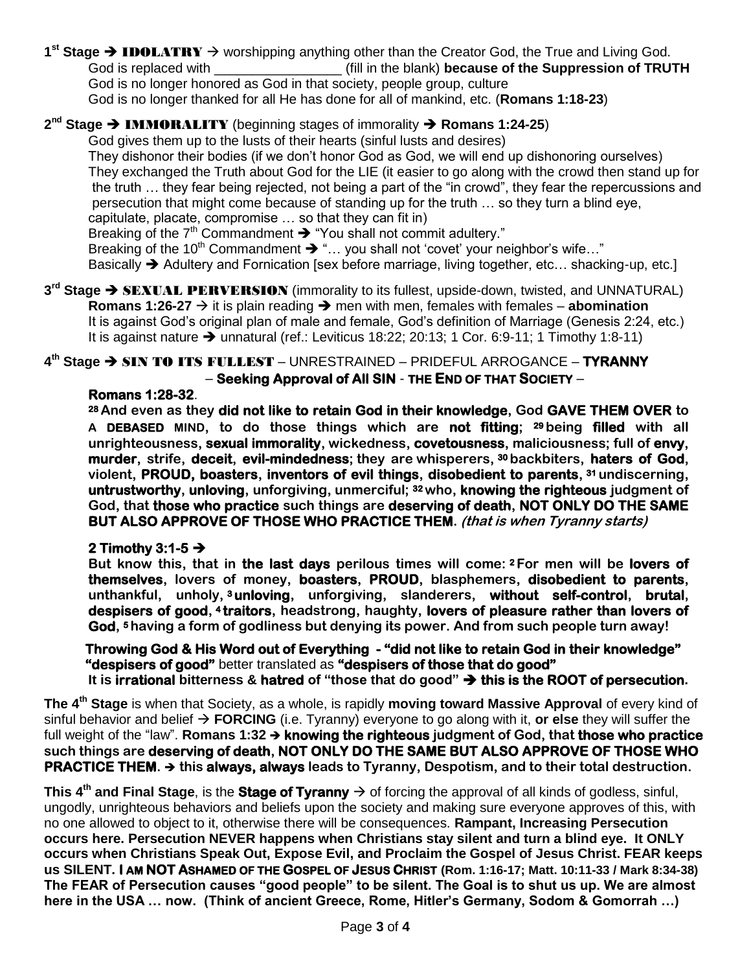**1<sup>st</sup> Stage → <b>IDOLATRY** → worshipping anything other than the Creator God, the True and Living God. God is replaced with **the contract of the Suppression of TRUTH** God is no longer honored as God in that society, people group, culture God is no longer thanked for all He has done for all of mankind, etc. (**Romans 1:18-23**)

## **2<sup>nd</sup> Stage → IMMORALITY** (beginning stages of immorality → Romans 1:24-25)

God gives them up to the lusts of their hearts (sinful lusts and desires) They dishonor their bodies (if we don't honor God as God, we will end up dishonoring ourselves) They exchanged the Truth about God for the LIE (it easier to go along with the crowd then stand up for the truth … they fear being rejected, not being a part of the "in crowd", they fear the repercussions and persecution that might come because of standing up for the truth … so they turn a blind eye, capitulate, placate, compromise … so that they can fit in) Breaking of the  $7<sup>th</sup>$  Commandment  $\rightarrow$  "You shall not commit adultery."

Breaking of the 10<sup>th</sup> Commandment  $\rightarrow$  "... you shall not 'covet' your neighbor's wife..." Basically  $\rightarrow$  Adultery and Fornication [sex before marriage, living together, etc... shacking-up, etc.]

**3<sup>rd</sup> Stage → SEXUAL PERVERSION (immorality to its fullest, upside-down, twisted, and UNNATURAL) Romans 1:26-27**  $\rightarrow$  it is plain reading  $\rightarrow$  men with men, females with females – **abomination** It is against God's original plan of male and female, God's definition of Marriage (Genesis 2:24, etc.) It is against nature  $\rightarrow$  unnatural (ref.: Leviticus 18:22; 20:13; 1 Cor. 6:9-11; 1 Timothy 1:8-11)

**4 th Stage** SIN TO ITS FULLEST – UNRESTRAINED – PRIDEFUL ARROGANCE – **TYRANNY**

#### – **Seeking Approval of All SIN** - **THE END OF THAT SOCIETY** –

#### **Romans 1:28-32**.

**<sup>28</sup>And even as they did not like to retain God in their knowledge, God GAVE THEM OVER to A DEBASED MIND, to do those things which are not fitting; <sup>29</sup>being filled with all unrighteousness, sexual immorality, wickedness, covetousness, maliciousness; full of envy, murder, strife, deceit, evil-mindedness; they are whisperers, <sup>30</sup>backbiters, haters of God, violent, PROUD, boasters, inventors of evil things, disobedient to parents, <sup>31</sup>undiscerning, untrustworthy, unloving, unforgiving, unmerciful; <sup>32</sup>who, knowing the righteous judgment of God, that those who practice such things are deserving of death, NOT ONLY DO THE SAME BUT ALSO APPROVE OF THOSE WHO PRACTICE THEM. (that is when Tyranny starts)**

#### 2 Timothy 3:1-5  $\rightarrow$

**But know this, that in the last days perilous times will come: <sup>2</sup>For men will be lovers of themselves, lovers of money, boasters, PROUD, blasphemers, disobedient to parents, unthankful, unholy, <sup>3</sup>unloving, unforgiving, slanderers, without self-control, brutal, despisers of good, <sup>4</sup>traitors, headstrong, haughty, lovers of pleasure rather than lovers of God, <sup>5</sup>having a form of godliness but denying its power. And from such people turn away!**

 **Throwing God & His Word out of Everything - "did not like to retain God in their knowledge" "despisers of good"** better translated as **"despisers of those that do good" It is irrational bitterness & hatred of "those that do good" this is the ROOT of persecution.** 

**The 4th Stage** is when that Society, as a whole, is rapidly **moving toward Massive Approval** of every kind of sinful behavior and belief **FORCING** (i.e. Tyranny) everyone to go along with it, **or else** they will suffer the full weight of the "law". **Romans 1:32 knowing the righteous judgment of God, that those who practice such things are deserving of death, NOT ONLY DO THE SAME BUT ALSO APPROVE OF THOSE WHO PRACTICE THEM. this always, always leads to Tyranny, Despotism, and to their total destruction.**

**This 4<sup>th</sup> and Final Stage**, is the **Stage of Tyranny**  $\rightarrow$  of forcing the approval of all kinds of godless, sinful, ungodly, unrighteous behaviors and beliefs upon the society and making sure everyone approves of this, with no one allowed to object to it, otherwise there will be consequences. **Rampant, Increasing Persecution occurs here. Persecution NEVER happens when Christians stay silent and turn a blind eye. It ONLY occurs when Christians Speak Out, Expose Evil, and Proclaim the Gospel of Jesus Christ. FEAR keeps**  us SILENT. I AM NOT ASHAMED OF THE GOSPEL OF JESUS CHRIST (Rom. 1:16-17; Matt. 10:11-33 / Mark 8:34-38) **The FEAR of Persecution causes "good people" to be silent. The Goal is to shut us up. We are almost here in the USA … now. (Think of ancient Greece, Rome, Hitler's Germany, Sodom & Gomorrah …)**